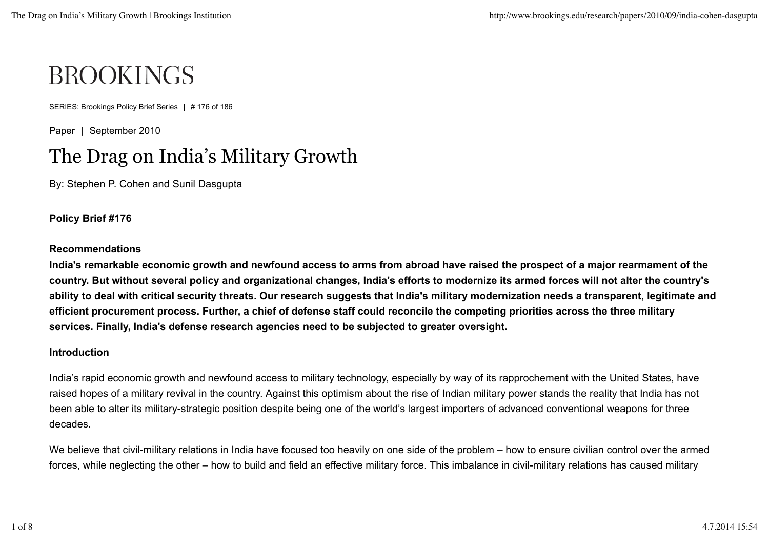# **BROOKINGS**

SERIES: Brookings Policy Brief Series | # 176 of 186

Paper | September 2010

# The Drag on India's Military Growth

By: Stephen P. Cohen and Sunil Dasgupta

**Policy Brief #176**

## **Recommendations**

**India's remarkable economic growth and newfound access to arms from abroad have raised the prospect of a major rearmament of the country. But without several policy and organizational changes, India's efforts to modernize its armed forces will not alter the country's ability to deal with critical security threats. Our research suggests that India's military modernization needs a transparent, legitimate and efficient procurement process. Further, a chief of defense staff could reconcile the competing priorities across the three military services. Finally, India's defense research agencies need to be subjected to greater oversight.**

### **Introduction**

India's rapid economic growth and newfound access to military technology, especially by way of its rapprochement with the United States, have raised hopes of a military revival in the country. Against this optimism about the rise of Indian military power stands the reality that India has not been able to alter its military-strategic position despite being one of the world's largest importers of advanced conventional weapons for three decades.

We believe that civil-military relations in India have focused too heavily on one side of the problem – how to ensure civilian control over the armed forces, while neglecting the other – how to build and field an effective military force. This imbalance in civil-military relations has caused military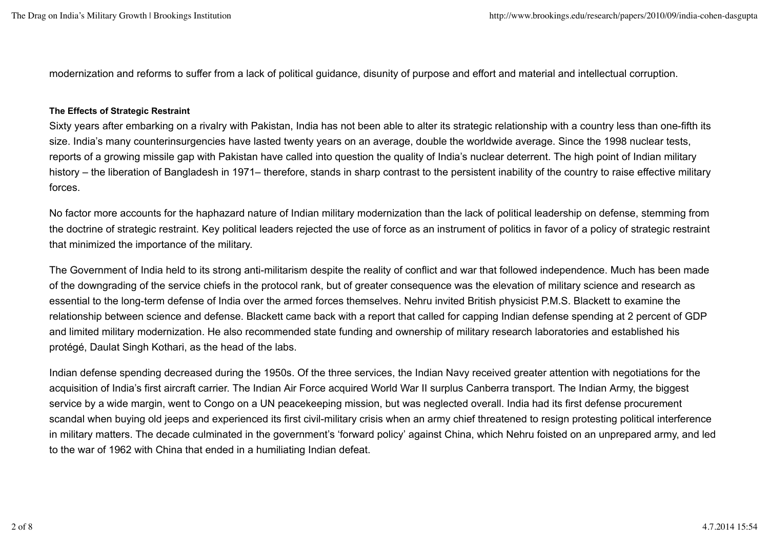modernization and reforms to suffer from a lack of political guidance, disunity of purpose and effort and material and intellectual corruption.

#### **The Effects of Strategic Restraint**

Sixty years after embarking on a rivalry with Pakistan, India has not been able to alter its strategic relationship with a country less than one-fifth its size. India's many counterinsurgencies have lasted twenty years on an average, double the worldwide average. Since the 1998 nuclear tests, reports of a growing missile gap with Pakistan have called into question the quality of India's nuclear deterrent. The high point of Indian military history – the liberation of Bangladesh in 1971– therefore, stands in sharp contrast to the persistent inability of the country to raise effective military forces.

No factor more accounts for the haphazard nature of Indian military modernization than the lack of political leadership on defense, stemming from the doctrine of strategic restraint. Key political leaders rejected the use of force as an instrument of politics in favor of a policy of strategic restraint that minimized the importance of the military.

The Government of India held to its strong anti-militarism despite the reality of conflict and war that followed independence. Much has been made of the downgrading of the service chiefs in the protocol rank, but of greater consequence was the elevation of military science and research as essential to the long-term defense of India over the armed forces themselves. Nehru invited British physicist P.M.S. Blackett to examine the relationship between science and defense. Blackett came back with a report that called for capping Indian defense spending at 2 percent of GDP and limited military modernization. He also recommended state funding and ownership of military research laboratories and established his protégé, Daulat Singh Kothari, as the head of the labs.

Indian defense spending decreased during the 1950s. Of the three services, the Indian Navy received greater attention with negotiations for the acquisition of India's first aircraft carrier. The Indian Air Force acquired World War II surplus Canberra transport. The Indian Army, the biggest service by a wide margin, went to Congo on a UN peacekeeping mission, but was neglected overall. India had its first defense procurement scandal when buying old jeeps and experienced its first civil-military crisis when an army chief threatened to resign protesting political interference in military matters. The decade culminated in the government's 'forward policy' against China, which Nehru foisted on an unprepared army, and led to the war of 1962 with China that ended in a humiliating Indian defeat.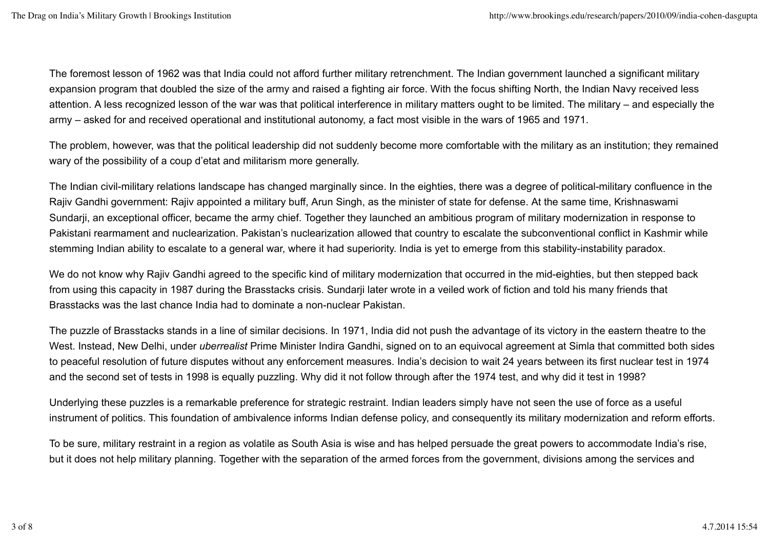The foremost lesson of 1962 was that India could not afford further military retrenchment. The Indian government launched a significant military expansion program that doubled the size of the army and raised a fighting air force. With the focus shifting North, the Indian Navy received less attention. A less recognized lesson of the war was that political interference in military matters ought to be limited. The military – and especially the army – asked for and received operational and institutional autonomy, a fact most visible in the wars of 1965 and 1971.

The problem, however, was that the political leadership did not suddenly become more comfortable with the military as an institution; they remained wary of the possibility of a coup d'etat and militarism more generally.

The Indian civil-military relations landscape has changed marginally since. In the eighties, there was a degree of political-military confluence in the Rajiv Gandhi government: Rajiv appointed a military buff, Arun Singh, as the minister of state for defense. At the same time, Krishnaswami Sundarji, an exceptional officer, became the army chief. Together they launched an ambitious program of military modernization in response to Pakistani rearmament and nuclearization. Pakistan's nuclearization allowed that country to escalate the subconventional conflict in Kashmir while stemming Indian ability to escalate to a general war, where it had superiority. India is yet to emerge from this stability-instability paradox.

We do not know why Rajiv Gandhi agreed to the specific kind of military modernization that occurred in the mid-eighties, but then stepped back from using this capacity in 1987 during the Brasstacks crisis. Sundarji later wrote in a veiled work of fiction and told his many friends that Brasstacks was the last chance India had to dominate a non-nuclear Pakistan.

The puzzle of Brasstacks stands in a line of similar decisions. In 1971, India did not push the advantage of its victory in the eastern theatre to the West. Instead, New Delhi, under *uberrealist* Prime Minister Indira Gandhi, signed on to an equivocal agreement at Simla that committed both sides to peaceful resolution of future disputes without any enforcement measures. India's decision to wait 24 years between its first nuclear test in 1974 and the second set of tests in 1998 is equally puzzling. Why did it not follow through after the 1974 test, and why did it test in 1998?

Underlying these puzzles is a remarkable preference for strategic restraint. Indian leaders simply have not seen the use of force as a useful instrument of politics. This foundation of ambivalence informs Indian defense policy, and consequently its military modernization and reform efforts.

To be sure, military restraint in a region as volatile as South Asia is wise and has helped persuade the great powers to accommodate India's rise, but it does not help military planning. Together with the separation of the armed forces from the government, divisions among the services and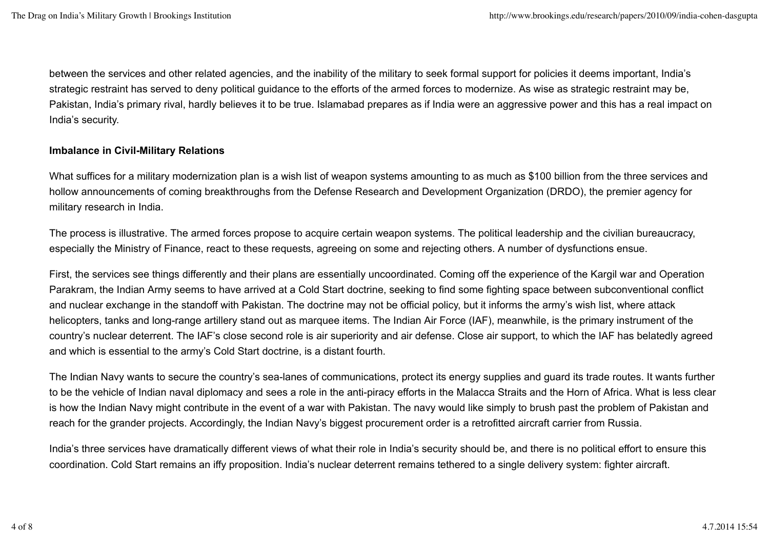between the services and other related agencies, and the inability of the military to seek formal support for policies it deems important, India's strategic restraint has served to deny political guidance to the efforts of the armed forces to modernize. As wise as strategic restraint may be, Pakistan, India's primary rival, hardly believes it to be true. Islamabad prepares as if India were an aggressive power and this has a real impact on India's security.

# **Imbalance in Civil-Military Relations**

What suffices for a military modernization plan is a wish list of weapon systems amounting to as much as \$100 billion from the three services and hollow announcements of coming breakthroughs from the Defense Research and Development Organization (DRDO), the premier agency for military research in India.

The process is illustrative. The armed forces propose to acquire certain weapon systems. The political leadership and the civilian bureaucracy, especially the Ministry of Finance, react to these requests, agreeing on some and rejecting others. A number of dysfunctions ensue.

First, the services see things differently and their plans are essentially uncoordinated. Coming off the experience of the Kargil war and Operation Parakram, the Indian Army seems to have arrived at a Cold Start doctrine, seeking to find some fighting space between subconventional conflict and nuclear exchange in the standoff with Pakistan. The doctrine may not be official policy, but it informs the army's wish list, where attack helicopters, tanks and long-range artillery stand out as marquee items. The Indian Air Force (IAF), meanwhile, is the primary instrument of the country's nuclear deterrent. The IAF's close second role is air superiority and air defense. Close air support, to which the IAF has belatedly agreed and which is essential to the army's Cold Start doctrine, is a distant fourth.

The Indian Navy wants to secure the country's sea-lanes of communications, protect its energy supplies and guard its trade routes. It wants further to be the vehicle of Indian naval diplomacy and sees a role in the anti-piracy efforts in the Malacca Straits and the Horn of Africa. What is less clear is how the Indian Navy might contribute in the event of a war with Pakistan. The navy would like simply to brush past the problem of Pakistan and reach for the grander projects. Accordingly, the Indian Navy's biggest procurement order is a retrofitted aircraft carrier from Russia.

India's three services have dramatically different views of what their role in India's security should be, and there is no political effort to ensure this coordination. Cold Start remains an iffy proposition. India's nuclear deterrent remains tethered to a single delivery system: fighter aircraft.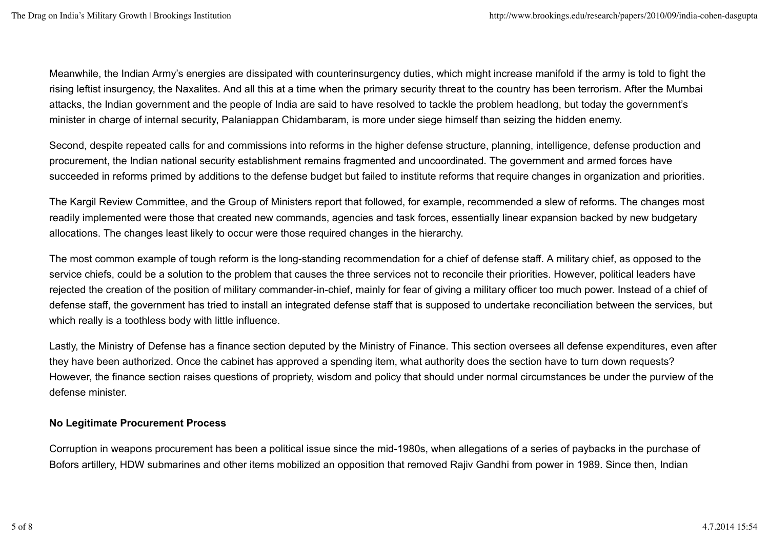Meanwhile, the Indian Army's energies are dissipated with counterinsurgency duties, which might increase manifold if the army is told to fight the rising leftist insurgency, the Naxalites. And all this at a time when the primary security threat to the country has been terrorism. After the Mumbai attacks, the Indian government and the people of India are said to have resolved to tackle the problem headlong, but today the government's minister in charge of internal security, Palaniappan Chidambaram, is more under siege himself than seizing the hidden enemy.

Second, despite repeated calls for and commissions into reforms in the higher defense structure, planning, intelligence, defense production and procurement, the Indian national security establishment remains fragmented and uncoordinated. The government and armed forces have succeeded in reforms primed by additions to the defense budget but failed to institute reforms that require changes in organization and priorities.

The Kargil Review Committee, and the Group of Ministers report that followed, for example, recommended a slew of reforms. The changes most readily implemented were those that created new commands, agencies and task forces, essentially linear expansion backed by new budgetary allocations. The changes least likely to occur were those required changes in the hierarchy.

The most common example of tough reform is the long-standing recommendation for a chief of defense staff. A military chief, as opposed to the service chiefs, could be a solution to the problem that causes the three services not to reconcile their priorities. However, political leaders have rejected the creation of the position of military commander-in-chief, mainly for fear of giving a military officer too much power. Instead of a chief of defense staff, the government has tried to install an integrated defense staff that is supposed to undertake reconciliation between the services, but which really is a toothless body with little influence.

Lastly, the Ministry of Defense has a finance section deputed by the Ministry of Finance. This section oversees all defense expenditures, even after they have been authorized. Once the cabinet has approved a spending item, what authority does the section have to turn down requests? However, the finance section raises questions of propriety, wisdom and policy that should under normal circumstances be under the purview of the defense minister.

# **No Legitimate Procurement Process**

Corruption in weapons procurement has been a political issue since the mid-1980s, when allegations of a series of paybacks in the purchase of Bofors artillery, HDW submarines and other items mobilized an opposition that removed Rajiv Gandhi from power in 1989. Since then, Indian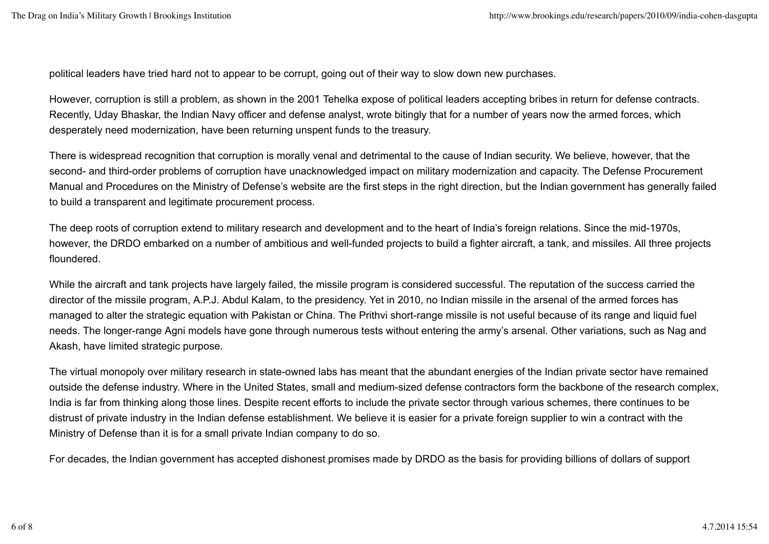political leaders have tried hard not to appear to be corrupt, going out of their way to slow down new purchases.

However, corruption is still a problem, as shown in the 2001 Tehelka expose of political leaders accepting bribes in return for defense contracts. Recently, Uday Bhaskar, the Indian Navy officer and defense analyst, wrote bitingly that for a number of years now the armed forces, which desperately need modernization, have been returning unspent funds to the treasury.

There is widespread recognition that corruption is morally venal and detrimental to the cause of Indian security. We believe, however, that the second- and third-order problems of corruption have unacknowledged impact on military modernization and capacity. The Defense Procurement Manual and Procedures on the Ministry of Defense's website are the first steps in the right direction, but the Indian government has generally failed to build a transparent and legitimate procurement process.

The deep roots of corruption extend to military research and development and to the heart of India's foreign relations. Since the mid-1970s, however, the DRDO embarked on a number of ambitious and well-funded projects to build a fighter aircraft, a tank, and missiles. All three projects floundered.

While the aircraft and tank projects have largely failed, the missile program is considered successful. The reputation of the success carried the director of the missile program, A.P.J. Abdul Kalam, to the presidency. Yet in 2010, no Indian missile in the arsenal of the armed forces has managed to alter the strategic equation with Pakistan or China. The Prithvi short-range missile is not useful because of its range and liquid fuel needs. The longer-range Agni models have gone through numerous tests without entering the army's arsenal. Other variations, such as Nag and Akash, have limited strategic purpose.

The virtual monopoly over military research in state-owned labs has meant that the abundant energies of the Indian private sector have remained outside the defense industry. Where in the United States, small and medium-sized defense contractors form the backbone of the research complex, India is far from thinking along those lines. Despite recent efforts to include the private sector through various schemes, there continues to be distrust of private industry in the Indian defense establishment. We believe it is easier for a private foreign supplier to win a contract with the Ministry of Defense than it is for a small private Indian company to do so.

For decades, the Indian government has accepted dishonest promises made by DRDO as the basis for providing billions of dollars of support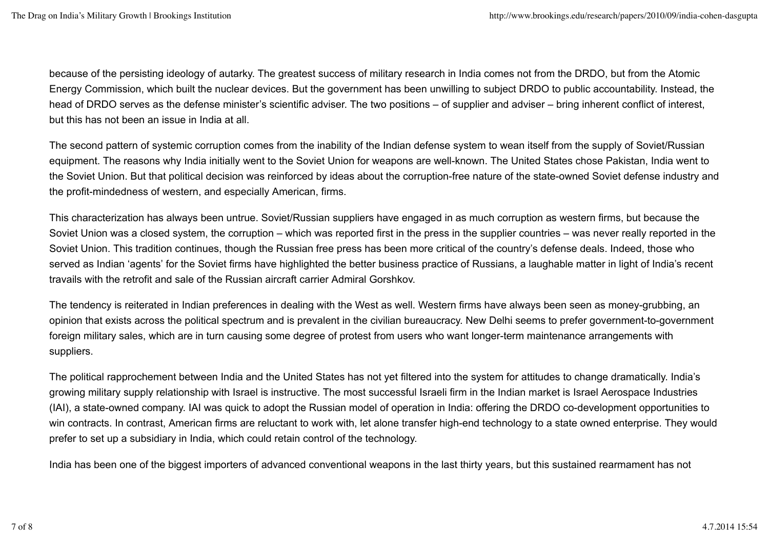because of the persisting ideology of autarky. The greatest success of military research in India comes not from the DRDO, but from the Atomic Energy Commission, which built the nuclear devices. But the government has been unwilling to subject DRDO to public accountability. Instead, the head of DRDO serves as the defense minister's scientific adviser. The two positions – of supplier and adviser – bring inherent conflict of interest, but this has not been an issue in India at all.

The second pattern of systemic corruption comes from the inability of the Indian defense system to wean itself from the supply of Soviet/Russian equipment. The reasons why India initially went to the Soviet Union for weapons are well-known. The United States chose Pakistan, India went to the Soviet Union. But that political decision was reinforced by ideas about the corruption-free nature of the state-owned Soviet defense industry and the profit-mindedness of western, and especially American, firms.

This characterization has always been untrue. Soviet/Russian suppliers have engaged in as much corruption as western firms, but because the Soviet Union was a closed system, the corruption – which was reported first in the press in the supplier countries – was never really reported in the Soviet Union. This tradition continues, though the Russian free press has been more critical of the country's defense deals. Indeed, those who served as Indian 'agents' for the Soviet firms have highlighted the better business practice of Russians, a laughable matter in light of India's recent travails with the retrofit and sale of the Russian aircraft carrier Admiral Gorshkov.

The tendency is reiterated in Indian preferences in dealing with the West as well. Western firms have always been seen as money-grubbing, an opinion that exists across the political spectrum and is prevalent in the civilian bureaucracy. New Delhi seems to prefer government-to-government foreign military sales, which are in turn causing some degree of protest from users who want longer-term maintenance arrangements with suppliers.

The political rapprochement between India and the United States has not yet filtered into the system for attitudes to change dramatically. India's growing military supply relationship with Israel is instructive. The most successful Israeli firm in the Indian market is Israel Aerospace Industries (IAI), a state-owned company. IAI was quick to adopt the Russian model of operation in India: offering the DRDO co-development opportunities to win contracts. In contrast, American firms are reluctant to work with, let alone transfer high-end technology to a state owned enterprise. They would prefer to set up a subsidiary in India, which could retain control of the technology.

India has been one of the biggest importers of advanced conventional weapons in the last thirty years, but this sustained rearmament has not